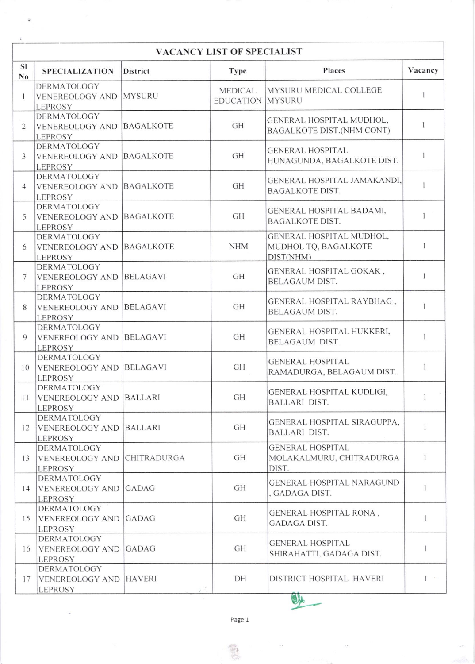| <b>VACANCY LIST OF SPECIALIST</b> |                                                                      |                    |                                           |                                                               |              |  |  |  |  |
|-----------------------------------|----------------------------------------------------------------------|--------------------|-------------------------------------------|---------------------------------------------------------------|--------------|--|--|--|--|
| SI<br>N <sub>0</sub>              | <b>SPECIALIZATION</b>                                                | <b>District</b>    | <b>Type</b>                               | Places                                                        | Vacancy      |  |  |  |  |
| 1                                 | <b>DERMATOLOGY</b><br><b>VENEREOLOGY AND</b><br><b>LEPROSY</b>       | <b>MYSURU</b>      | <b>MEDICAL</b><br><b>EDUCATION MYSURU</b> | MYSURU MEDICAL COLLEGE                                        | 1            |  |  |  |  |
| $\overline{2}$                    | <b>DERMATOLOGY</b><br><b>VENEREOLOGY AND</b><br><b>LEPROSY</b>       | <b>BAGALKOTE</b>   | GH                                        | GENERAL HOSPITAL MUDHOL,<br><b>BAGALKOTE DIST.(NHM CONT)</b>  | 1            |  |  |  |  |
| 3                                 | <b>DERMATOLOGY</b><br><b>VENEREOLOGY AND</b><br><b>LEPROSY</b>       | <b>BAGALKOTE</b>   | GH                                        | <b>GENERAL HOSPITAL</b><br>HUNAGUNDA, BAGALKOTE DIST.         |              |  |  |  |  |
| $\overline{4}$                    | <b>DERMATOLOGY</b><br><b>VENEREOLOGY AND</b><br><b>LEPROSY</b>       | <b>BAGALKOTE</b>   | GH                                        | GENERAL HOSPITAL JAMAKANDI,<br><b>BAGALKOTE DIST.</b>         | $\mathbf{1}$ |  |  |  |  |
| 5                                 | <b>DERMATOLOGY</b><br><b>VENEREOLOGY AND</b><br><b>LEPROSY</b>       | <b>BAGALKOTE</b>   | GH                                        | GENERAL HOSPITAL BADAMI,<br><b>BAGALKOTE DIST.</b>            |              |  |  |  |  |
| 6                                 | <b>DERMATOLOGY</b><br><b>VENEREOLOGY AND</b><br><b>LEPROSY</b>       | <b>BAGALKOTE</b>   | <b>NHM</b>                                | GENERAL HOSPITAL MUDHOL,<br>MUDHOL TQ, BAGALKOTE<br>DIST(NHM) | 1            |  |  |  |  |
| 7                                 | <b>DERMATOLOGY</b><br><b>VENEREOLOGY AND</b><br><b>LEPROSY</b>       | <b>BELAGAVI</b>    | <b>GH</b>                                 | GENERAL HOSPITAL GOKAK,<br><b>BELAGAUM DIST.</b>              | 1            |  |  |  |  |
| 8                                 | <b>DERMATOLOGY</b><br><b>VENEREOLOGY AND</b><br><b>LEPROSY</b>       | <b>BELAGAVI</b>    | GH                                        | GENERAL HOSPITAL RAYBHAG,<br><b>BELAGAUM DIST.</b>            | 1            |  |  |  |  |
| 9                                 | <b>DERMATOLOGY</b><br><b>VENEREOLOGY AND</b><br><b>LEPROSY</b>       | <b>BELAGAVI</b>    | GH                                        | GENERAL HOSPITAL HUKKERI,<br>BELAGAUM DIST.                   | 1            |  |  |  |  |
| 10                                | <b>DERMATOLOGY</b><br><b>VENEREOLOGY AND</b><br><b>LEPROSY</b>       | <b>BELAGAVI</b>    | GH                                        | <b>GENERAL HOSPITAL</b><br>RAMADURGA, BELAGAUM DIST.          | 1            |  |  |  |  |
| 11                                | <b>DERMATOLOGY</b><br>VENEREOLOGY AND BALLARI<br><b>LEPROSY</b>      |                    | GH                                        | GENERAL HOSPITAL KUDLIGI,<br><b>BALLARI DIST.</b>             |              |  |  |  |  |
| 12                                | <b>DERMATOLOGY</b><br><b>VENEREOLOGY AND</b><br><b>LEPROSY</b>       | <b>BALLARI</b>     | GH                                        | GENERAL HOSPITAL SIRAGUPPA.<br><b>BALLARI DIST.</b>           |              |  |  |  |  |
| 13                                | <b>DERMATOLOGY</b><br><b>VENEREOLOGY AND</b><br><b>LEPROSY</b>       | <b>CHITRADURGA</b> | GH                                        | <b>GENERAL HOSPITAL</b><br>MOLAKALMURU, CHITRADURGA<br>DIST.  | $\mathbf{1}$ |  |  |  |  |
| 14                                | <b>DERMATOLOGY</b><br>VENEREOLOGY AND<br><b>LEPROSY</b>              | GADAG              | GH                                        | <b>GENERAL HOSPITAL NARAGUND</b><br>. GADAGA DIST.            |              |  |  |  |  |
| 15                                | <b>DERMATOLOGY</b><br><b>VENEREOLOGY AND GADAG</b><br><b>LEPROSY</b> |                    | GH                                        | <b>GENERAL HOSPITAL RONA,</b><br>GADAGA DIST.                 | $\mathbf{1}$ |  |  |  |  |
| 16                                | <b>DERMATOLOGY</b><br><b>VENEREOLOGY AND GADAG</b><br><b>LEPROSY</b> |                    | <b>GH</b>                                 | <b>GENERAL HOSPITAL</b><br>SHIRAHATTI, GADAGA DIST.           | 1            |  |  |  |  |
| 17                                | <b>DERMATOLOGY</b><br>VENEREOLOGY AND HAVERI<br><b>LEPROSY</b>       |                    | DH                                        | DISTRICT HOSPITAL HAVERI                                      | $1 -$        |  |  |  |  |
|                                   |                                                                      |                    |                                           |                                                               |              |  |  |  |  |

 $\tilde{a}$ 

Page 1